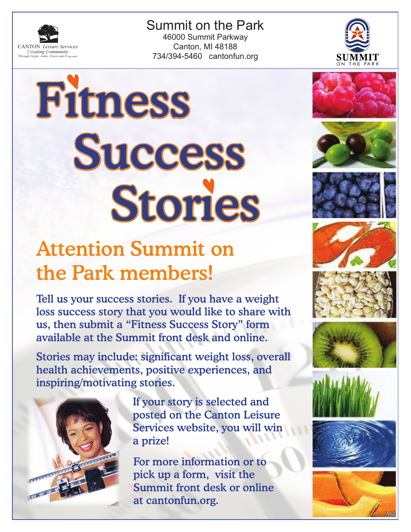

Summit on the Park 46000 Summit Parkway Canton, MI 48188 734/394-5460 cantonfun.org





## Attention Summit on the Park member Tell us your success stories. If  $y \circ u$  have a weight loss success story that you would like to share with us, then submit a "Fitness Success Story" form available at the Summit front desk and online.

Stories may include: significant weight loss, overall health achievements, positive experiences, and inspiring/motivating stories.



 If your story is selected and posted on the Canton Leisure Services website, you will win a prize!

For more information or to pick up a form, visit the Summit front desk or online at cantonfun.org.